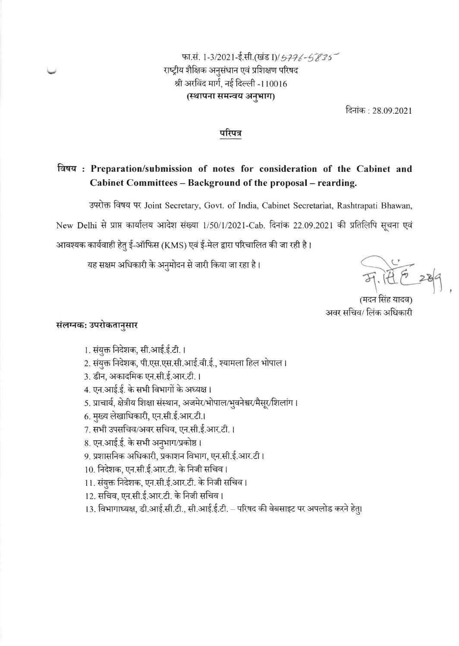# फा.सं. 1-3/2021-ई.सी.(खंड I)/5776-5835 राष्ट्रीय शैक्षिक अनुसंधान एवं प्रशिक्षण परिषद श्री अरविंद मार्ग, नई दिल्ली -110016 (स्थापना समन्वय अनुभाग)

दिनांक: 28.09.2021

#### परिपत्र

## विषय: Preparation/submission of notes for consideration of the Cabinet and Cabinet Committees - Background of the proposal - rearding.

उपरोक्त विषय पर Joint Secretary, Govt. of India, Cabinet Secretariat, Rashtrapati Bhawan,

New Delhi से प्राप्त कार्यालय आदेश संख्या 1/50/1/2021-Cab. दिनांक 22.09.2021 की प्रतिलिपि सूचना एवं

आवश्यक कार्यवाही हेतु ई-ऑफिस (KMS) एवं ई-मेल द्वारा परिचालित की जा रही है।

यह सक्षम अधिकारी के अनुमोदन से जारी किया जा रहा है।

अवर सचिव/ लिंक अधिकारी

## संलग्नक: उपरोकतानुसार

- 1. संयुक्त निदेशक, सी.आई.ई.टी. ।
- 2. संयुक्त निदेशक, पी.एस.एस.सी.आई.वी.ई., श्यामला हिल भोपाल।
- 3. डीन, अकादमिक एन.सी.ई.आर.टी.।
- 4. एन.आई.ई. के सभी विभागों के अध्यक्ष।
- 5. प्राचार्य, क्षेत्रीय शिक्षा संस्थान, अजमेर/भोपाल/भुवनेश्वर/मैसूर/शिलांग।
- 6. मुख्य लेखाधिकारी, एन.सी.ई.आर.टी.।
- 7. सभी उपसचिव/अवर सचिव, एन.सी.ई.आर.टी. ।
- 8. एन.आई.ई. के सभी अनुभाग/प्रकोष्ठ।
- 9. प्रशासनिक अधिकारी, प्रकाशन विभाग, एन.सी.ई.आर.टी।
- 10. निदेशक, एन.सी.ई.आर.टी. के निजी सचिव।
- 11. संयुक्त निदेशक, एन.सी.ई.आर.टी. के निजी सचिव।
- 12. सचिव, एन.सी.ई.आर.टी. के निजी सचिव।
- 13. विभागाध्यक्ष, डी.आई.सी.टी., सी.आई.ई.टी. परिषद की वेबसाइट पर अपलोड करने हेत्।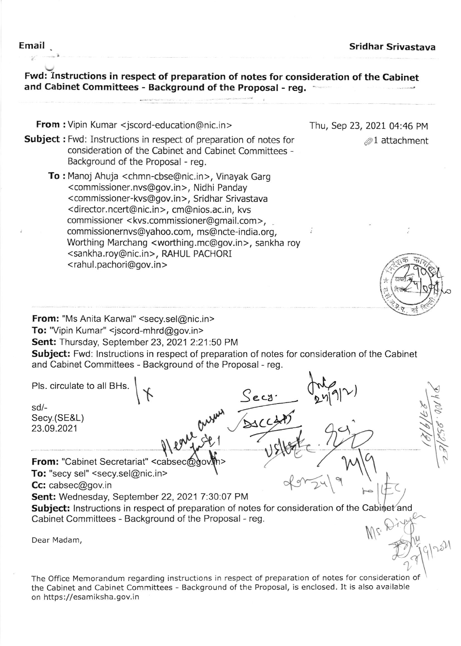$\mathcal{D}1$  attachment

 $\tilde{\omega}$ 

l<br>F

 $\mathbb{Q}$ 

Thu, Sep 23,2021 04:46 PM

Fwd: Instructions in respect of preparation of notes for consideration of the Cabinet and Cabinet Committees - Background of the Proposal - reg.

From : Vipin Kumar <jscord-education@nic.in >

- Subject : Fwd: Instructions in respect of preparation of notes for consideration of the Cabinet and Cabinet Committees - Background of the Proposal - reg.
	- To : Manoj Ahuja <chmn-cbse@nic.in>, Vinayak Garg <sup>&</sup>lt;commissioner. nvs@gov.in >, Nidhi Panday <commissioner-kvs@gov.in>, Sridhar Srivastava <director.ncert@nic.in>, cm@nios.ac.in, kvs commissioner < kvs.commissioner@gmail.com>, commissionernvs@yahoo.com, ms@ncte-india.org, Wofthing Marchang <worthing.mc@gov.in>, sankha roy <sankha.roy@nic.in>, RAHUL PACHORI < rahul. pachori@gov. in >

From: "Ms Anita Karwal" <secy.sel@nic.in> To: "Vipin Kumar" <jscord-mhrd@gov.in> Sent: Thursday, September 23, 2021 2:21:50 PM

Subject: Fwd: Instructions in respect of preparation of notes for consideration of the Cabinet and Cabinet Committees - Background of the Proposal - reg.

Pls. circulate to all BHs. sd/- Secy.(SE&L) 23.09.2021 From: "Cabinet Secretariat" <cabsec@gov.h> To: "secy sel" <secy.sel@nic.in> Cc: cabsec@gov.in  $S_{\text{e-c3}}$   $\sqrt{\frac{1}{249}}$  $\bigvee$  . \$ on you L  $\bigvee$  $\triangleleft$ 1 Sent: Wednesday, September 22, 2021 7:30:07 PM Sent: wednesday, September 22, 2021 7:30:07 PM<br>Subject: Instructions in respect of preparation of notes for consideration of the Cabinet and Cabinet Committees - Background of the Proposal - reg. Dear Madam, N,  $\bigtriangledown$ 1 u  $\int u$  $\sqrt{6}$  $\frac{1}{2}$ 

The Office Memorandum regarding instructions in respect of preparation of notes for consideratior the Cabinet and Cabinet Com mittees - Background of the Proposal, is enclosed. It is also available on https://esamiksha.gov.in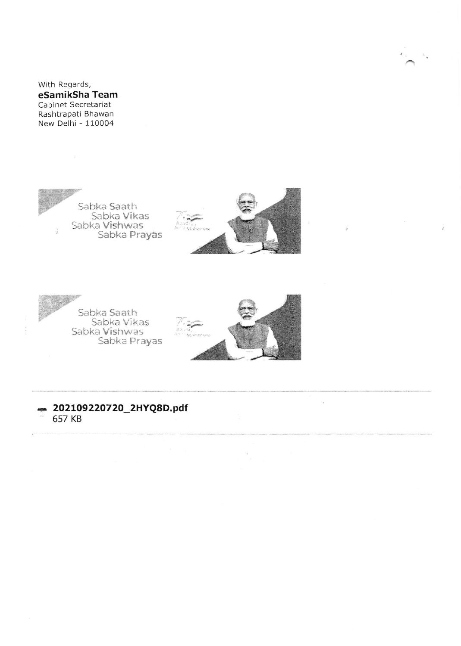With Regards, eSamikSha Team Cabinet Secretariat Rashtrapati Bhawan New Delhi - 110004







 $\overline{\phantom{a}}$ 

## 202109220720\_2HYQ8D.pdf 657 KB